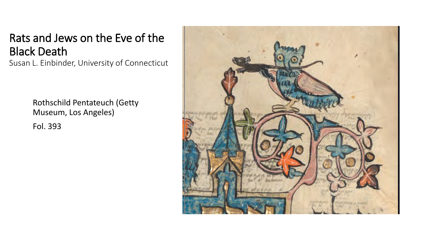## Rats and Jews on the Eve of the Black Death

Susan L. Einbinder, University of Connecticut

Rothschild Pentateuch (Getty Museum, Los Angeles)

Fol. 393

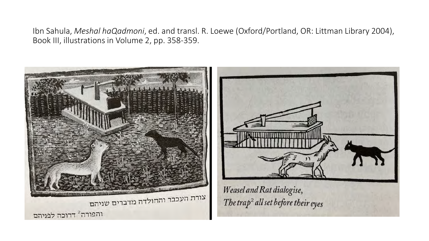Ibn Sahula, *Meshal haQadmoni*, ed. and transl. R. Loewe (Oxford/Portland, OR: Littman Library 2004), Book III, illustrations in Volume 2, pp. 358-359.

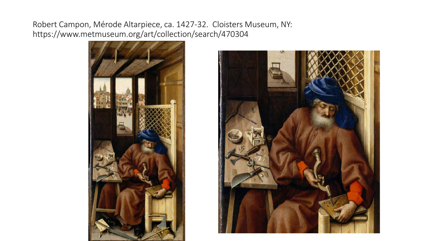Robert Campon, Mérode Altarpiece, ca. 1427-32. Cloisters Museum, NY: https://www.metmuseum.org/art/collection/search/470304



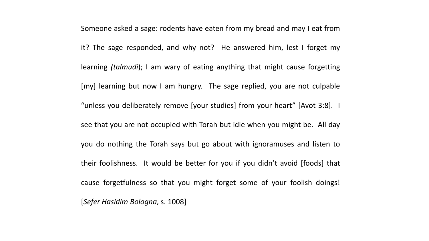Someone asked a sage: rodents have eaten from my bread and may I eat from it? The sage responded, and why not? He answered him, lest I forget my learning *(talmudi*); I am wary of eating anything that might cause forgetting [my] learning but now I am hungry. The sage replied, you are not culpable "unless you deliberately remove [your studies] from your heart" [Avot 3:8]. I see that you are not occupied with Torah but idle when you might be. All day you do nothing the Torah says but go about with ignoramuses and listen to their foolishness. It would be better for you if you didn't avoid [foods] that cause forgetfulness so that you might forget some of your foolish doings! [*Sefer Hasidim Bologna*, s. 1008]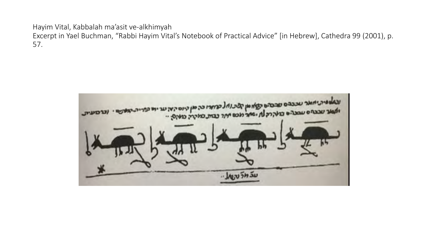Hayim Vital, Kabbalah ma'asit ve-alkhimyah

Excerpt in Yael Buchman, "Rabbi Hayim Vital's Notebook of Practical Advice" [in Hebrew], Cathedra 99 (2001), p. 57.